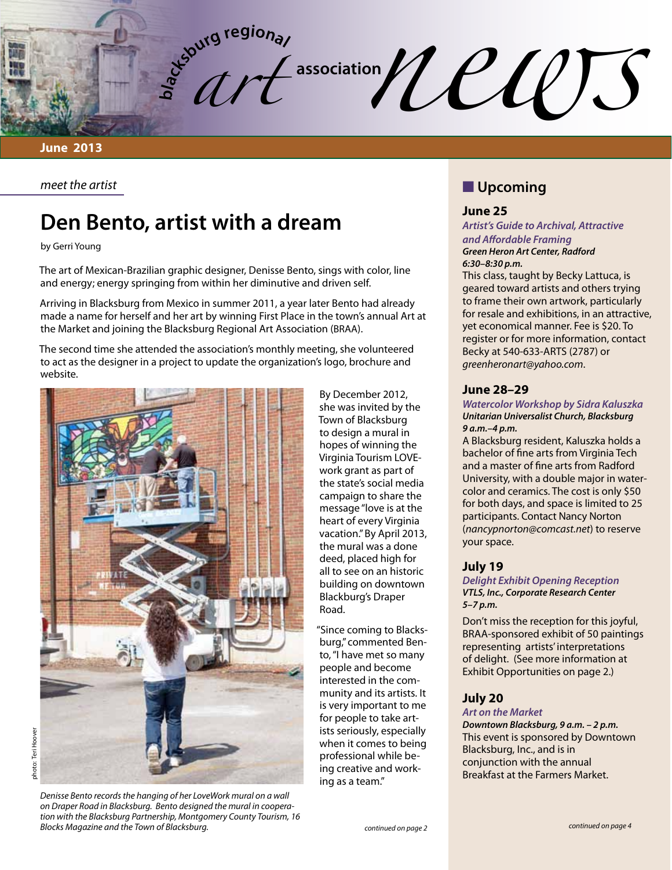$\int_a^b dT$  $\frac{1}{2}$  association  $\frac{1}{2}$ 

*meet the artist*

# **Den Bento, artist with a dream**

by Gerri Young

The art of Mexican-Brazilian graphic designer, Denisse Bento, sings with color, line and energy; energy springing from within her diminutive and driven self.

Arriving in Blacksburg from Mexico in summer 2011, a year later Bento had already made a name for herself and her art by winning First Place in the town's annual Art at the Market and joining the Blacksburg Regional Art Association (BRAA).

The second time she attended the association's monthly meeting, she volunteered to act as the designer in a project to update the organization's logo, brochure and website.



*Denisse Bento records the hanging of her LoveWork mural on a wall on Draper Road in Blacksburg. Bento designed the mural in cooperation with the Blacksburg Partnership, Montgomery County Tourism, 16 Blocks Magazine and the Town of Blacksburg.* 

By December 2012, she was invited by the Town of Blacksburg to design a mural in hopes of winning the Virginia Tourism LOVEwork grant as part of the state's social media campaign to share the message "love is at the heart of every Virginia vacation." By April 2013, the mural was a done deed, placed high for all to see on an historic building on downtown Blackburg's Draper Road.

"Since coming to Blacksburg," commented Bento, "I have met so many people and become interested in the community and its artists. It is very important to me for people to take artists seriously, especially when it comes to being professional while being creative and working as a team."

## **N** Upcoming

#### **June 25**

*Artist's Guide to Archival, Attractive and Affordable Framing Green Heron Art Center, Radford 6:30–8:30 p.m.*

This class, taught by Becky Lattuca, is geared toward artists and others trying to frame their own artwork, particularly for resale and exhibitions, in an attractive, yet economical manner. Fee is \$20. To register or for more information, contact Becky at 540-633-ARTS (2787) or *greenheronart@yahoo.com*.

#### **June 28–29**

*Watercolor Workshop by Sidra Kaluszka Unitarian Universalist Church, Blacksburg 9 a.m.–4 p.m.* 

A Blacksburg resident, Kaluszka holds a bachelor of fine arts from Virginia Tech and a master of fine arts from Radford University, with a double major in watercolor and ceramics. The cost is only \$50 for both days, and space is limited to 25 participants. Contact Nancy Norton (*nancypnorton@comcast.net*) to reserve your space.

#### **July 19**

*Delight Exhibit Opening Reception VTLS, Inc., Corporate Research Center 5–7 p.m.*

Don't miss the reception for this joyful, BRAA-sponsored exhibit of 50 paintings representing artists' interpretations of delight. (See more information at Exhibit Opportunities on page 2.)

#### **July 20**

#### *Art on the Market*

*Downtown Blacksburg, 9 a.m. – 2 p.m.* This event is sponsored by Downtown Blacksburg, Inc., and is in conjunction with the annual Breakfast at the Farmers Market.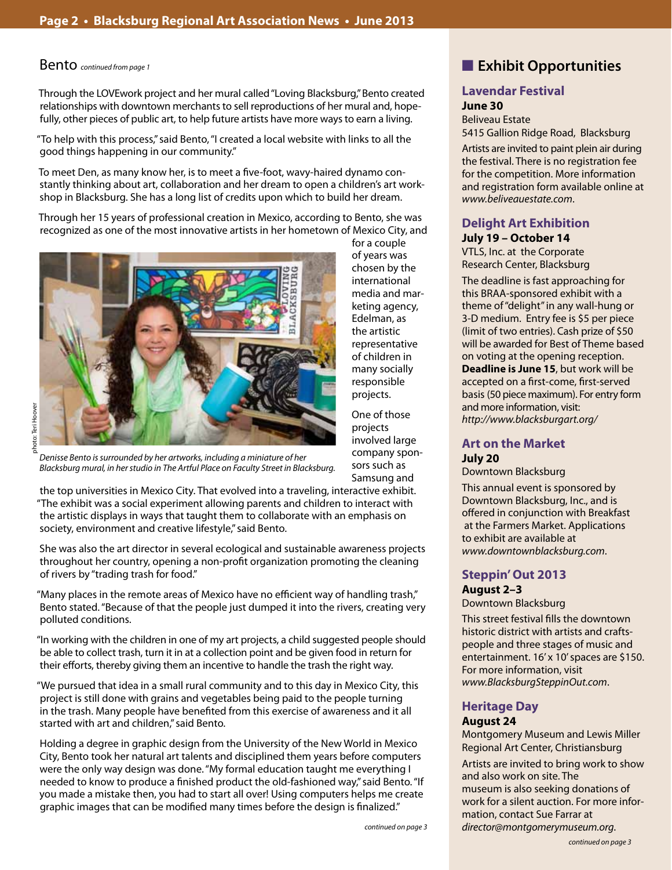Bento *continued from page 1*

Through the LOVEwork project and her mural called "Loving Blacksburg," Bento created relationships with downtown merchants to sell reproductions of her mural and, hopefully, other pieces of public art, to help future artists have more ways to earn a living.

"To help with this process," said Bento, "I created a local website with links to all the good things happening in our community."

To meet Den, as many know her, is to meet a five-foot, wavy-haired dynamo constantly thinking about art, collaboration and her dream to open a children's art workshop in Blacksburg. She has a long list of credits upon which to build her dream.

Through her 15 years of professional creation in Mexico, according to Bento, she was recognized as one of the most innovative artists in her hometown of Mexico City, and



for a couple of years was chosen by the international media and marketing agency, Edelman, as the artistic representative of children in many socially responsible projects.

One of those projects involved large company sponsors such as Samsung and

*Denisse Bento is surrounded by her artworks, including a miniature of her Blacksburg mural, in her studio in The Artful Place on Faculty Street in Blacksburg.* 

the top universities in Mexico City. That evolved into a traveling, interactive exhibit. "The exhibit was a social experiment allowing parents and children to interact with the artistic displays in ways that taught them to collaborate with an emphasis on society, environment and creative lifestyle," said Bento.

She was also the art director in several ecological and sustainable awareness projects throughout her country, opening a non-profit organization promoting the cleaning of rivers by "trading trash for food."

"Many places in the remote areas of Mexico have no efficient way of handling trash," Bento stated. "Because of that the people just dumped it into the rivers, creating very polluted conditions.

"In working with the children in one of my art projects, a child suggested people should be able to collect trash, turn it in at a collection point and be given food in return for their efforts, thereby giving them an incentive to handle the trash the right way.

"We pursued that idea in a small rural community and to this day in Mexico City, this project is still done with grains and vegetables being paid to the people turning in the trash. Many people have benefited from this exercise of awareness and it all started with art and children," said Bento.

Holding a degree in graphic design from the University of the New World in Mexico City, Bento took her natural art talents and disciplined them years before computers were the only way design was done. "My formal education taught me everything I needed to know to produce a finished product the old-fashioned way," said Bento. "If you made a mistake then, you had to start all over! Using computers helps me create graphic images that can be modified many times before the design is finalized."

## **n** Exhibit Opportunities

## **Lavendar Festival**

### **June 30**

Beliveau Estate

5415 Gallion Ridge Road, Blacksburg

Artists are invited to paint plein air during the festival. There is no registration fee for the competition. More information and registration form available online at *www.beliveauestate.com*.

## **Delight Art Exhibition July 19 – October 14**

VTLS, Inc. at the Corporate Research Center, Blacksburg

The deadline is fast approaching for this BRAA-sponsored exhibit with a theme of "delight" in any wall-hung or 3-D medium. Entry fee is \$5 per piece (limit of two entries). Cash prize of \$50 will be awarded for Best of Theme based on voting at the opening reception. **Deadline is June 15**, but work will be

accepted on a first-come, first-served basis (50 piece maximum). For entry form and more information, visit:

*http://www.blacksburgart.org/*

#### **Art on the Market July 20**

Downtown Blacksburg

This annual event is sponsored by Downtown Blacksburg, Inc., and is offered in conjunction with Breakfast at the Farmers Market. Applications to exhibit are available at *www.downtownblacksburg.com*.

#### **Steppin' Out 2013 August 2–3**

Downtown Blacksburg

This street festival fills the downtown historic district with artists and craftspeople and three stages of music and entertainment. 16' x 10' spaces are \$150. For more information, visit *www.BlacksburgSteppinOut.com*.

## **Heritage Day August 24**

Montgomery Museum and Lewis Miller Regional Art Center, Christiansburg

Artists are invited to bring work to show and also work on site. The museum is also seeking donations of work for a silent auction. For more information, contact Sue Farrar at *director@montgomerymuseum.org*.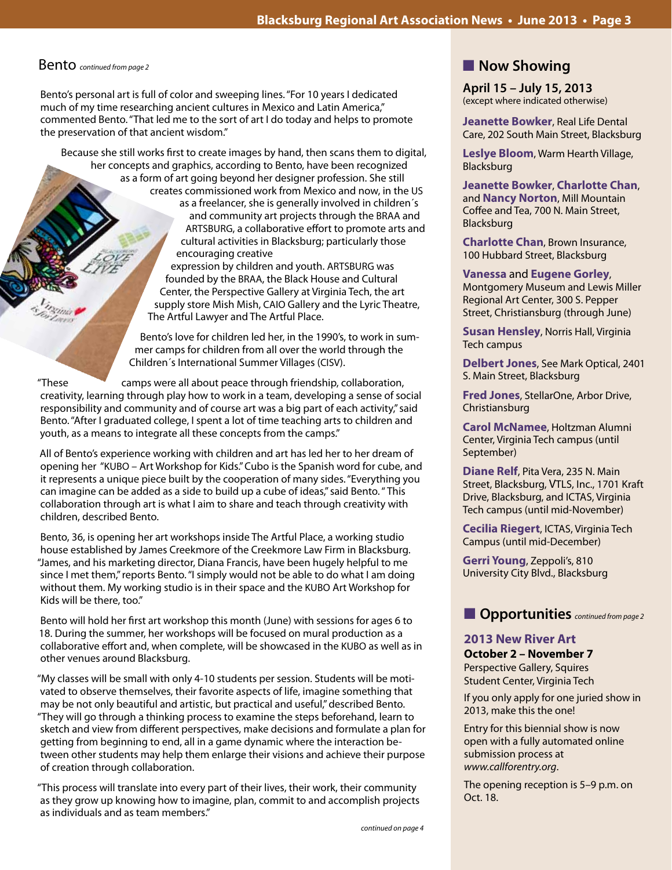#### Bento *continued from page 2*

**Deinir** Lavia

Bento's personal art is full of color and sweeping lines. "For 10 years I dedicated much of my time researching ancient cultures in Mexico and Latin America," commented Bento. "That led me to the sort of art I do today and helps to promote the preservation of that ancient wisdom."

Because she still works first to create images by hand, then scans them to digital, her concepts and graphics, according to Bento, have been recognized as a form of art going beyond her designer profession. She still creates commissioned work from Mexico and now, in the US as a freelancer, she is generally involved in children´s and community art projects through the BRAA and ARTSBURG, a collaborative effort to promote arts and cultural activities in Blacksburg; particularly those encouraging creative expression by children and youth. ARTSBURG was

founded by the BRAA, the Black House and Cultural Center, the Perspective Gallery at Virginia Tech, the art supply store Mish Mish, CAIO Gallery and the Lyric Theatre, The Artful Lawyer and The Artful Place.

Bento's love for children led her, in the 1990's, to work in summer camps for children from all over the world through the Children´s International Summer Villages (CISV).

"These camps were all about peace through friendship, collaboration, creativity, learning through play how to work in a team, developing a sense of social responsibility and community and of course art was a big part of each activity," said Bento. "After I graduated college, I spent a lot of time teaching arts to children and youth, as a means to integrate all these concepts from the camps."

All of Bento's experience working with children and art has led her to her dream of opening her "KUBO – Art Workshop for Kids." Cubo is the Spanish word for cube, and it represents a unique piece built by the cooperation of many sides. "Everything you can imagine can be added as a side to build up a cube of ideas," said Bento. " This collaboration through art is what I aim to share and teach through creativity with children, described Bento.

Bento, 36, is opening her art workshops inside The Artful Place, a working studio house established by James Creekmore of the Creekmore Law Firm in Blacksburg. "James, and his marketing director, Diana Francis, have been hugely helpful to me since I met them," reports Bento. "I simply would not be able to do what I am doing without them. My working studio is in their space and the KUBO Art Workshop for Kids will be there, too."

Bento will hold her first art workshop this month (June) with sessions for ages 6 to 18. During the summer, her workshops will be focused on mural production as a collaborative effort and, when complete, will be showcased in the KUBO as well as in other venues around Blacksburg.

"My classes will be small with only 4-10 students per session. Students will be motivated to observe themselves, their favorite aspects of life, imagine something that may be not only beautiful and artistic, but practical and useful," described Bento. "They will go through a thinking process to examine the steps beforehand, learn to sketch and view from different perspectives, make decisions and formulate a plan for getting from beginning to end, all in a game dynamic where the interaction between other students may help them enlarge their visions and achieve their purpose of creation through collaboration.

"This process will translate into every part of their lives, their work, their community as they grow up knowing how to imagine, plan, commit to and accomplish projects as individuals and as team members."

**April 15 – July 15, 2013** (except where indicated otherwise)

**Jeanette Bowker**, Real Life Dental Care, 202 South Main Street, Blacksburg

**Leslye Bloom**, Warm Hearth Village, **Blacksburg** 

**Jeanette Bowker**, **Charlotte Chan**, and **Nancy Norton**, Mill Mountain Coffee and Tea, 700 N. Main Street, **Blacksburg** 

**Charlotte Chan**, Brown Insurance, 100 Hubbard Street, Blacksburg

**Vanessa** and **Eugene Gorley**, Montgomery Museum and Lewis Miller Regional Art Center, 300 S. Pepper Street, Christiansburg (through June)

**Susan Hensley**, Norris Hall, Virginia Tech campus

**Delbert Jones**, See Mark Optical, 2401 S. Main Street, Blacksburg

**Fred Jones**, StellarOne, Arbor Drive, Christiansburg

**Carol McNamee**, Holtzman Alumni Center, Virginia Tech campus (until September)

**Diane Relf**, Pita Vera, 235 N. Main Street, Blacksburg, VTLS, Inc., 1701 Kraft Drive, Blacksburg, and ICTAS, Virginia Tech campus (until mid-November)

**Cecilia Riegert**, ICTAS, Virginia Tech Campus (until mid-December)

**Gerri Young**, Zeppoli's, 810 University City Blvd., Blacksburg

#### **n** Opportunities *continued from page 2*

#### **2013 New River Art**

**October 2 – November 7** Perspective Gallery, Squires Student Center, Virginia Tech

If you only apply for one juried show in 2013, make this the one!

Entry for this biennial show is now open with a fully automated online submission process at *www.callforentry.org*.

The opening reception is 5–9 p.m. on Oct. 18.